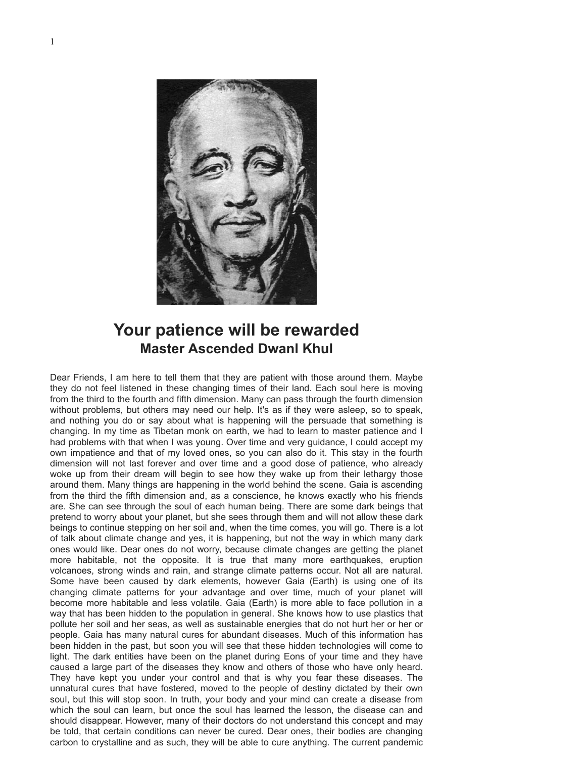

## **Your patience will be rewarded Master Ascended Dwanl Khul**

Dear Friends, I am here to tell them that they are patient with those around them. Maybe they do not feel listened in these changing times of their land. Each soul here is moving from the third to the fourth and fifth dimension. Many can pass through the fourth dimension without problems, but others may need our help. It's as if they were asleep, so to speak, and nothing you do or say about what is happening will the persuade that something is changing. In my time as Tibetan monk on earth, we had to learn to master patience and I had problems with that when I was young. Over time and very guidance, I could accept my own impatience and that of my loved ones, so you can also do it. This stay in the fourth dimension will not last forever and over time and a good dose of patience, who already woke up from their dream will begin to see how they wake up from their lethargy those around them. Many things are happening in the world behind the scene. Gaia is ascending from the third the fifth dimension and, as a conscience, he knows exactly who his friends are. She can see through the soul of each human being. There are some dark beings that pretend to worry about your planet, but she sees through them and will not allow these dark beings to continue stepping on her soil and, when the time comes, you will go. There is a lot of talk about climate change and yes, it is happening, but not the way in which many dark ones would like. Dear ones do not worry, because climate changes are getting the planet more habitable, not the opposite. It is true that many more earthquakes, eruption volcanoes, strong winds and rain, and strange climate patterns occur. Not all are natural. Some have been caused by dark elements, however Gaia (Earth) is using one of its changing climate patterns for your advantage and over time, much of your planet will become more habitable and less volatile. Gaia (Earth) is more able to face pollution in a way that has been hidden to the population in general. She knows how to use plastics that pollute her soil and her seas, as well as sustainable energies that do not hurt her or her or people. Gaia has many natural cures for abundant diseases. Much of this information has been hidden in the past, but soon you will see that these hidden technologies will come to light. The dark entities have been on the planet during Eons of your time and they have caused a large part of the diseases they know and others of those who have only heard. They have kept you under your control and that is why you fear these diseases. The unnatural cures that have fostered, moved to the people of destiny dictated by their own soul, but this will stop soon. In truth, your body and your mind can create a disease from which the soul can learn, but once the soul has learned the lesson, the disease can and should disappear. However, many of their doctors do not understand this concept and may be told, that certain conditions can never be cured. Dear ones, their bodies are changing carbon to crystalline and as such, they will be able to cure anything. The current pandemic